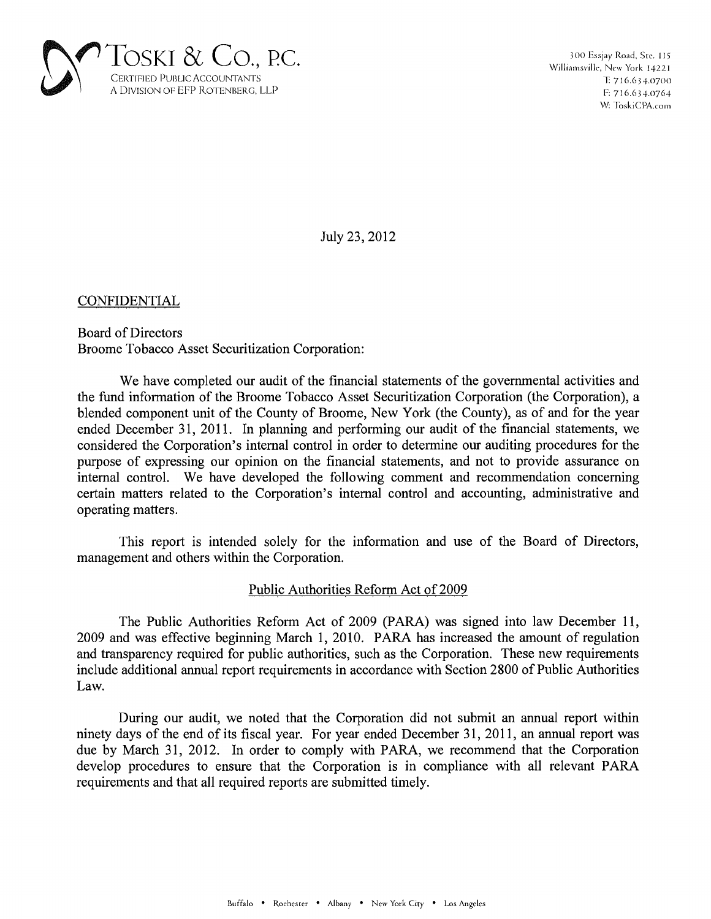

July 23,2012

CONFIDENTIAL

Board of Directors Broome Tobacco Asset Securitization Corporation:

We have completed our audit of the financial statements of the governmental activities and the fund information of the Broome Tobacco Asset Securitization Corporation (the Corporation), a blended component unit of the County of Broome, New York (the County), as of and for the year ended December 31, 2011. In planning and performing our audit of the financial statements, we considered the Corporation's internal control in order to determine our auditing procedures for the purpose of expressing our opinion on the financial statements, and not to provide assurance on internal control. We have developed the following comment and recommendation concerning certain matters related to the Corporation's internal control and accounting, administrative and operating matters.

This report is intended solely for the information and use of the Board of Directors, management and others within the Corporation.

## Public Authorities Reform Act of 2009

The Public Authorities Reform Act of 2009 (PARA) was signed into law December 11, 2009 and was effective beginning March 1, 2010. PARA has increased the amount of regulation and transparency required for public authorities, such as the Corporation. These new requirements include additional annual report requirements in accordance with Section 2800 of Public Authorities Law.

During our audit, we noted that the Corporation did not submit an annual report within ninety days of the end of its fiscal year. For year ended December 31,2011, an annual report was due by March 31, 2012. In order to comply with PARA, we recommend that the Corporation develop procedures to ensure that the Corporation is in compliance with all relevant PARA requirements and that all required reports are submitted timely.